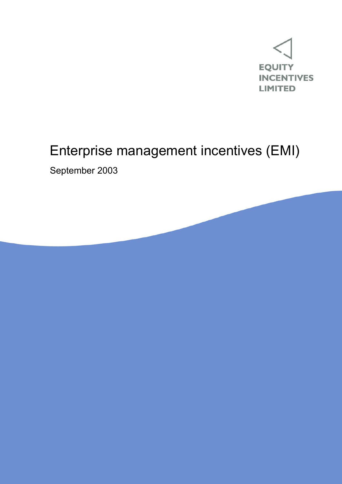

# Enterprise management incentives (EMI)

September 2003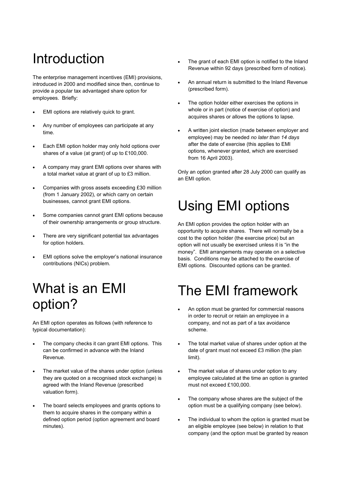# Introduction

The enterprise management incentives (EMI) provisions, introduced in 2000 and modified since then, continue to provide a popular tax advantaged share option for employees. Briefly:

- EMI options are relatively quick to grant.
- Any number of employees can participate at any time.
- Each EMI option holder may only hold options over shares of a value (at grant) of up to £100,000.
- A company may grant EMI options over shares with a total market value at grant of up to £3 million.
- Companies with gross assets exceeding £30 million (from 1 January 2002), or which carry on certain businesses, cannot grant EMI options.
- Some companies cannot grant EMI options because of their ownership arrangements or group structure.
- There are very significant potential tax advantages for option holders.
- EMI options solve the employer's national insurance contributions (NICs) problem.

## What is an EMI option?

An EMI option operates as follows (with reference to typical documentation):

- The company checks it can grant EMI options. This can be confirmed in advance with the Inland Revenue.
- The market value of the shares under option (unless they are quoted on a recognised stock exchange) is agreed with the Inland Revenue (prescribed valuation form).
- The board selects employees and grants options to them to acquire shares in the company within a defined option period (option agreement and board minutes).
- The grant of each EMI option is notified to the Inland Revenue within 92 days (prescribed form of notice).
- An annual return is submitted to the Inland Revenue (prescribed form).
- The option holder either exercises the options in whole or in part (notice of exercise of option) and acquires shares or allows the options to lapse.
- A written joint election (made between employer and employee) may be needed *no later than 14 days*  after the date of exercise (this applies to EMI options, whenever granted, which are exercised from 16 April 2003).

Only an option granted after 28 July 2000 can qualify as an EMI option.

# Using EMI options

An EMI option provides the option holder with an opportunity to acquire shares. There will normally be a cost to the option holder (the exercise price) but an option will not usually be exercised unless it is "in the money". EMI arrangements may operate on a selective basis. Conditions may be attached to the exercise of EMI options. Discounted options can be granted.

## The EMI framework

- An option must be granted for commercial reasons in order to recruit or retain an employee in a company, and not as part of a tax avoidance scheme.
- The total market value of shares under option at the date of grant must not exceed £3 million (the plan limit).
- The market value of shares under option to any employee calculated at the time an option is granted must not exceed £100,000.
- The company whose shares are the subject of the option must be a qualifying company (see below).
- The individual to whom the option is granted must be an eligible employee (see below) in relation to that company (and the option must be granted by reason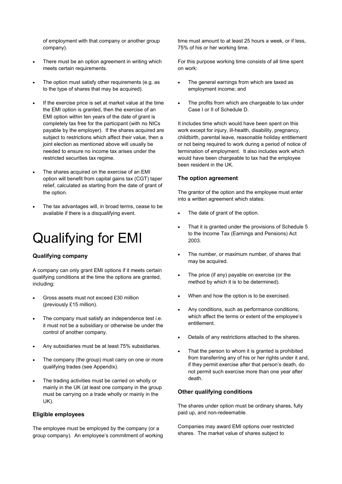of employment with that company or another group company).

- There must be an option agreement in writing which meets certain requirements.
- The option must satisfy other requirements (e.g. as to the type of shares that may be acquired).
- If the exercise price is set at market value at the time the EMI option is granted, then the exercise of an EMI option within ten years of the date of grant is completely tax free for the participant (with no NICs payable by the employer). If the shares acquired are subiect to restrictions which affect their value, then a joint election as mentioned above will usually be needed to ensure no income tax arises under the restricted securities tax regime.
- The shares acquired on the exercise of an EMI option will benefit from capital gains tax (CGT) taper relief, calculated as starting from the date of grant of the option.
- The tax advantages will, in broad terms, cease to be available if there is a disqualifying event.

## Qualifying for EMI

### **Qualifying company**

A company can only grant EMI options if it meets certain qualifying conditions at the time the options are granted, including:

- Gross assets must not exceed £30 million (previously £15 million).
- The company must satisfy an independence test i.e. it must not be a subsidiary or otherwise be under the control of another company.
- Any subsidiaries must be at least 75% subsidiaries.
- The company (the group) must carry on one or more qualifying trades (see Appendix).
- The trading activities must be carried on wholly or mainly in the UK (at least one company in the group must be carrying on a trade wholly or mainly in the UK).

#### **Eligible employees**

The employee must be employed by the company (or a group company). An employee's commitment of working time must amount to at least 25 hours a week, or if less, 75% of his or her working time.

For this purpose working time consists of all time spent on work:

- The general earnings from which are taxed as employment income; and
- The profits from which are chargeable to tax under Case I or II of Schedule D.

It includes time which would have been spent on this work except for injury, ill-health, disability, pregnancy, childbirth, parental leave, reasonable holiday entitlement or not being required to work during a period of notice of termination of employment. It also includes work which would have been chargeable to tax had the employee been resident in the UK.

### **The option agreement**

The grantor of the option and the employee must enter into a written agreement which states:

- The date of grant of the option.
- That it is granted under the provisions of Schedule 5 to the Income Tax (Earnings and Pensions) Act 2003.
- The number, or maximum number, of shares that may be acquired.
- The price (if any) payable on exercise (or the method by which it is to be determined).
- When and how the option is to be exercised.
- Any conditions, such as performance conditions, which affect the terms or extent of the employee's entitlement.
- Details of any restrictions attached to the shares.
- That the person to whom it is granted is prohibited from transferring any of his or her rights under it and, if they permit exercise after that person's death, do not permit such exercise more than one year after death.

#### **Other qualifying conditions**

The shares under option must be ordinary shares, fully paid up, and non-redeemable.

Companies may award EMI options over restricted shares. The market value of shares subject to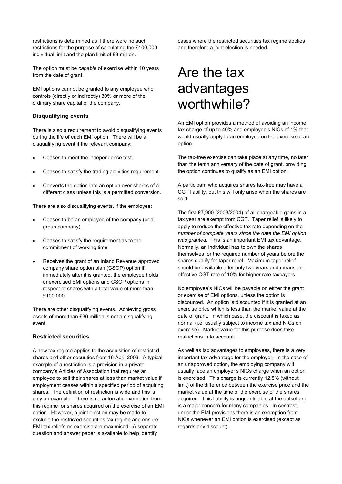restrictions is determined as if there were no such restrictions for the purpose of calculating the £100,000 individual limit and the plan limit of £3 million.

The option must be *capable* of exercise within 10 years from the date of grant.

EMI options cannot be granted to any employee who controls (directly or indirectly) 30% or more of the ordinary share capital of the company.

#### **Disqualifying events**

There is also a requirement to avoid disqualifying events during the life of each EMI option. There will be a disqualifying event if the relevant company:

- Ceases to meet the independence test.
- Ceases to satisfy the trading activities requirement.
- Converts the option into an option over shares of a different class unless this is a permitted conversion.

There are also disqualifying events, if the employee:

- Ceases to be an employee of the company (or a group company).
- Ceases to satisfy the requirement as to the commitment of working time.
- Receives the grant of an Inland Revenue approved company share option plan (CSOP) option if, immediately after it is granted, the employee holds unexercised EMI options and CSOP options in respect of shares with a total value of more than £100,000.

There are other disqualifying events. Achieving gross assets of more than £30 million is not a disqualifying event.

### **Restricted securities**

A new tax regime applies to the acquisition of restricted shares and other securities from 16 April 2003. A typical example of a restriction is a provision in a private company's Articles of Association that requires an employee to sell their shares at less than market value if employment ceases within a specified period of acquiring shares. The definition of restriction is wide and this is only an example. There is no automatic exemption from this regime for shares acquired on the exercise of an EMI option. However, a joint election may be made to exclude the restricted securities tax regime and ensure EMI tax reliefs on exercise are maximised. A separate question and answer paper is available to help identify

cases where the restricted securities tax regime applies and therefore a joint election is needed.

### Are the tax advantages worthwhile?

An EMI option provides a method of avoiding an income tax charge of up to 40% and employee's NICs of 1% that would usually apply to an employee on the exercise of an option.

The tax-free exercise can take place at any time, no later than the tenth anniversary of the date of grant, providing the option continues to qualify as an EMI option.

A participant who acquires shares tax-free may have a CGT liability, but this will only arise when the shares are sold.

The first £7,900 (2003/2004) of all chargeable gains in a tax year are exempt from CGT. Taper relief is likely to apply to reduce the effective tax rate depending on the *number of complete years since the date the EMI option was granted*. This is an important EMI tax advantage. Normally, an individual has to own the shares themselves for the required number of years before the shares qualify for taper relief. Maximum taper relief should be available after only two years and means an effective CGT rate of 10% for higher rate taxpayers.

No employee's NICs will be payable on either the grant or exercise of EMI options, unless the option is discounted. An option is discounted if it is granted at an exercise price which is less than the market value at the date of grant. In which case, the discount is taxed as normal (i.e. usually subject to income tax and NICs on exercise). Market value for this purpose does take restrictions in to account.

As well as tax advantages to employees, there is a very important tax advantage for the employer. In the case of an unapproved option, the employing company will usually face an employer's NICs charge when an option is exercised. This charge is currently 12.8% (without limit) of the difference between the exercise price and the market value at the time of the exercise of the shares acquired. This liability is unquantifiable at the outset and is a major concern for many companies. In contrast, under the EMI provisions there is an exemption from NICs whenever an EMI option is exercised (except as regards any discount).